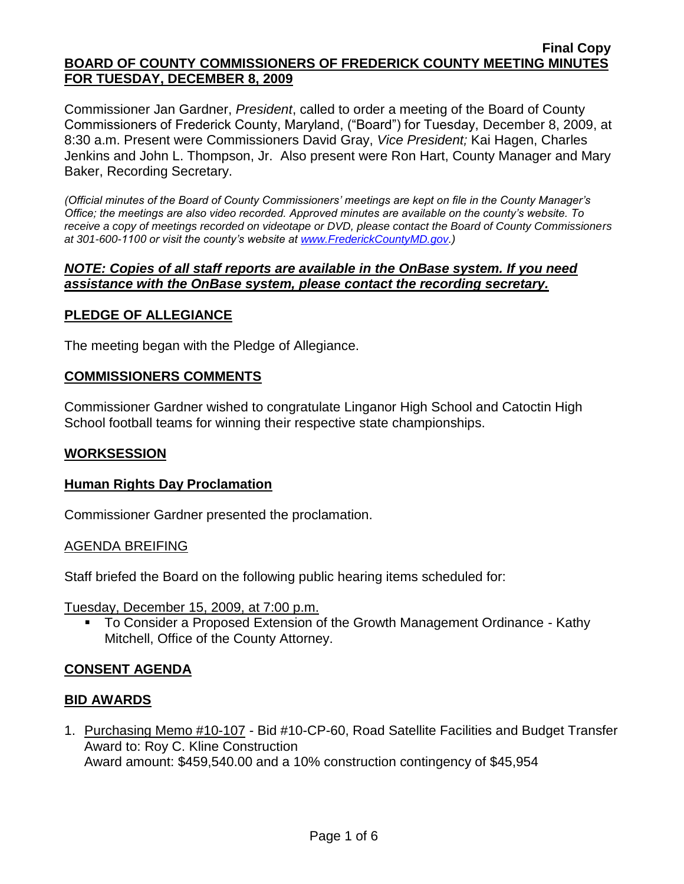Commissioner Jan Gardner, *President*, called to order a meeting of the Board of County Commissioners of Frederick County, Maryland, ("Board") for Tuesday, December 8, 2009, at 8:30 a.m. Present were Commissioners David Gray, *Vice President;* Kai Hagen, Charles Jenkins and John L. Thompson, Jr. Also present were Ron Hart, County Manager and Mary Baker, Recording Secretary.

*(Official minutes of the Board of County Commissioners' meetings are kept on file in the County Manager's Office; the meetings are also video recorded. Approved minutes are available on the county's website. To receive a copy of meetings recorded on videotape or DVD, please contact the Board of County Commissioners at 301-600-1100 or visit the county's website at [www.FrederickCountyMD.gov.](http://www.frederickcountymd.gov/))*

### *NOTE: Copies of all staff reports are available in the OnBase system. If you need assistance with the OnBase system, please contact the recording secretary.*

# **PLEDGE OF ALLEGIANCE**

The meeting began with the Pledge of Allegiance.

### **COMMISSIONERS COMMENTS**

Commissioner Gardner wished to congratulate Linganor High School and Catoctin High School football teams for winning their respective state championships.

### **WORKSESSION**

### **Human Rights Day Proclamation**

Commissioner Gardner presented the proclamation.

### AGENDA BREIFING

Staff briefed the Board on the following public hearing items scheduled for:

Tuesday, December 15, 2009, at 7:00 p.m.

 To Consider a Proposed Extension of the Growth Management Ordinance - Kathy Mitchell, Office of the County Attorney.

# **CONSENT AGENDA**

### **BID AWARDS**

1. Purchasing Memo #10-107 - Bid #10-CP-60, Road Satellite Facilities and Budget Transfer Award to: Roy C. Kline Construction Award amount: \$459,540.00 and a 10% construction contingency of \$45,954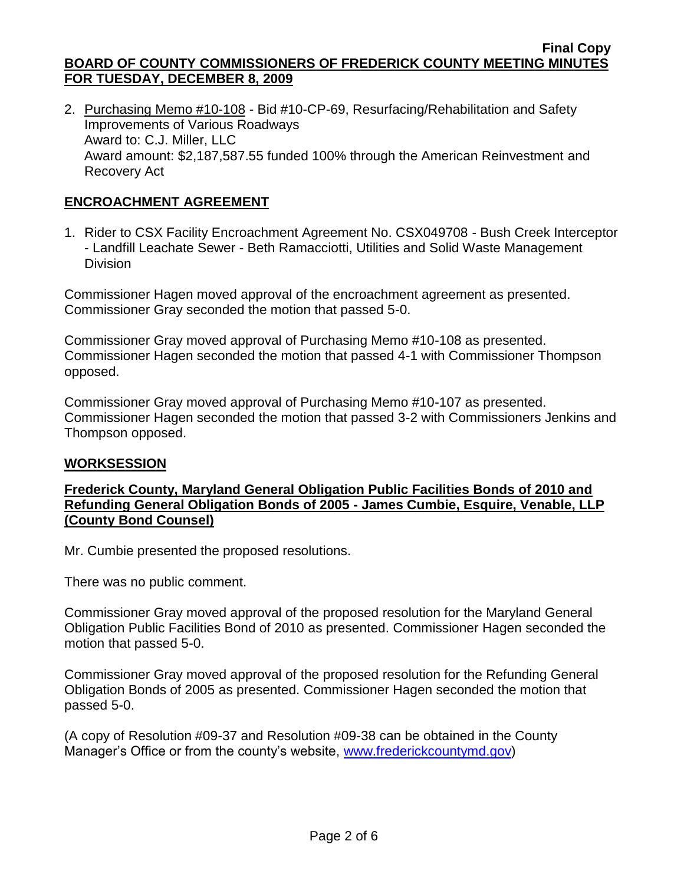2. Purchasing Memo #10-108 - Bid #10-CP-69, Resurfacing/Rehabilitation and Safety Improvements of Various Roadways Award to: C.J. Miller, LLC Award amount: \$2,187,587.55 funded 100% through the American Reinvestment and Recovery Act

# **ENCROACHMENT AGREEMENT**

1. Rider to CSX Facility Encroachment Agreement No. CSX049708 - Bush Creek Interceptor - Landfill Leachate Sewer - Beth Ramacciotti, Utilities and Solid Waste Management **Division** 

Commissioner Hagen moved approval of the encroachment agreement as presented. Commissioner Gray seconded the motion that passed 5-0.

Commissioner Gray moved approval of Purchasing Memo #10-108 as presented. Commissioner Hagen seconded the motion that passed 4-1 with Commissioner Thompson opposed.

Commissioner Gray moved approval of Purchasing Memo #10-107 as presented. Commissioner Hagen seconded the motion that passed 3-2 with Commissioners Jenkins and Thompson opposed.

### **WORKSESSION**

### **Frederick County, Maryland General Obligation Public Facilities Bonds of 2010 and Refunding General Obligation Bonds of 2005 - James Cumbie, Esquire, Venable, LLP (County Bond Counsel)**

Mr. Cumbie presented the proposed resolutions.

There was no public comment.

Commissioner Gray moved approval of the proposed resolution for the Maryland General Obligation Public Facilities Bond of 2010 as presented. Commissioner Hagen seconded the motion that passed 5-0.

Commissioner Gray moved approval of the proposed resolution for the Refunding General Obligation Bonds of 2005 as presented. Commissioner Hagen seconded the motion that passed 5-0.

(A copy of Resolution #09-37 and Resolution #09-38 can be obtained in the County Manager's Office or from the county's website, [www.frederickcountymd.gov\)](file:\\NT1S5\BOCC\BOCC\BOCC%20Minutes\Mary)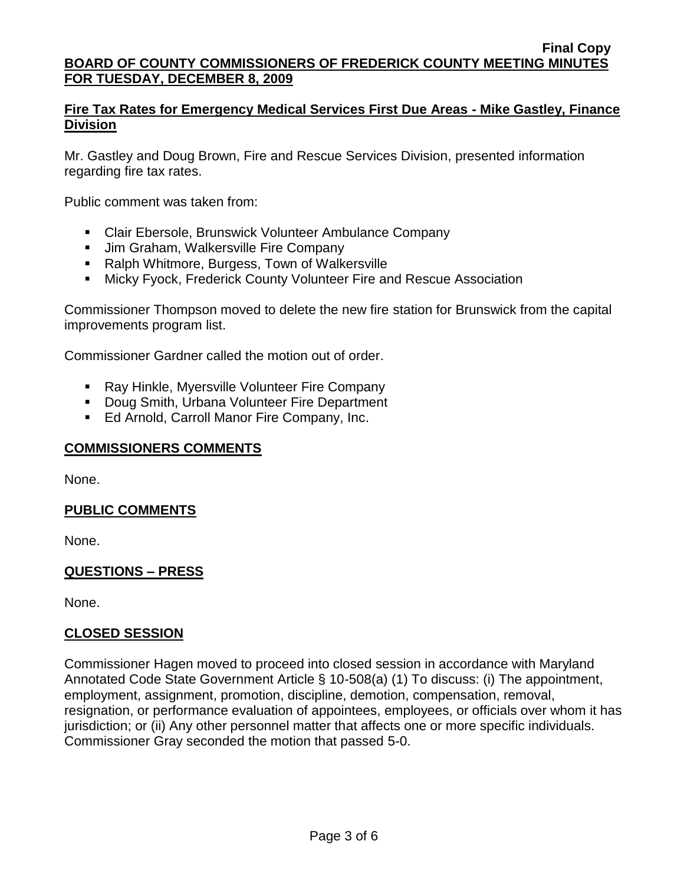### **Fire Tax Rates for Emergency Medical Services First Due Areas - Mike Gastley, Finance Division**

Mr. Gastley and Doug Brown, Fire and Rescue Services Division, presented information regarding fire tax rates.

Public comment was taken from:

- **EXECLAIR EXETS EXETS IN EXETS IS A LIGATE COMPANY**
- **Jim Graham, Walkersville Fire Company**
- Ralph Whitmore, Burgess, Town of Walkersville
- **EXECT:** Micky Fyock, Frederick County Volunteer Fire and Rescue Association

Commissioner Thompson moved to delete the new fire station for Brunswick from the capital improvements program list.

Commissioner Gardner called the motion out of order.

- **Ray Hinkle, Myersville Volunteer Fire Company**
- **Doug Smith, Urbana Volunteer Fire Department**
- **Ed Arnold, Carroll Manor Fire Company, Inc.**

### **COMMISSIONERS COMMENTS**

None.

### **PUBLIC COMMENTS**

None.

### **QUESTIONS – PRESS**

None.

### **CLOSED SESSION**

Commissioner Hagen moved to proceed into closed session in accordance with Maryland Annotated Code State Government Article § 10-508(a) (1) To discuss: (i) The appointment, employment, assignment, promotion, discipline, demotion, compensation, removal, resignation, or performance evaluation of appointees, employees, or officials over whom it has jurisdiction; or (ii) Any other personnel matter that affects one or more specific individuals. Commissioner Gray seconded the motion that passed 5-0.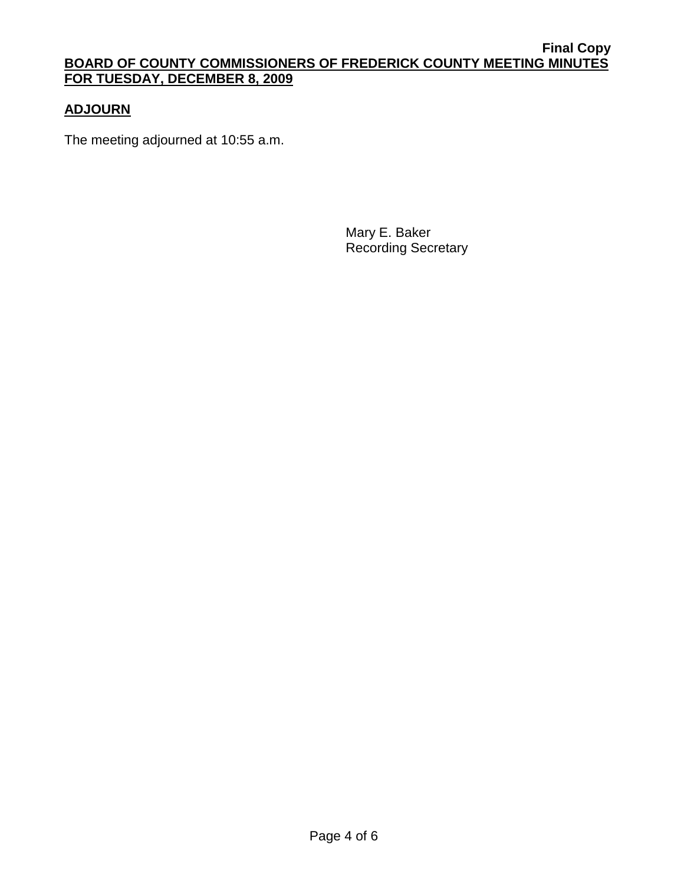# **ADJOURN**

The meeting adjourned at 10:55 a.m.

Mary E. Baker Recording Secretary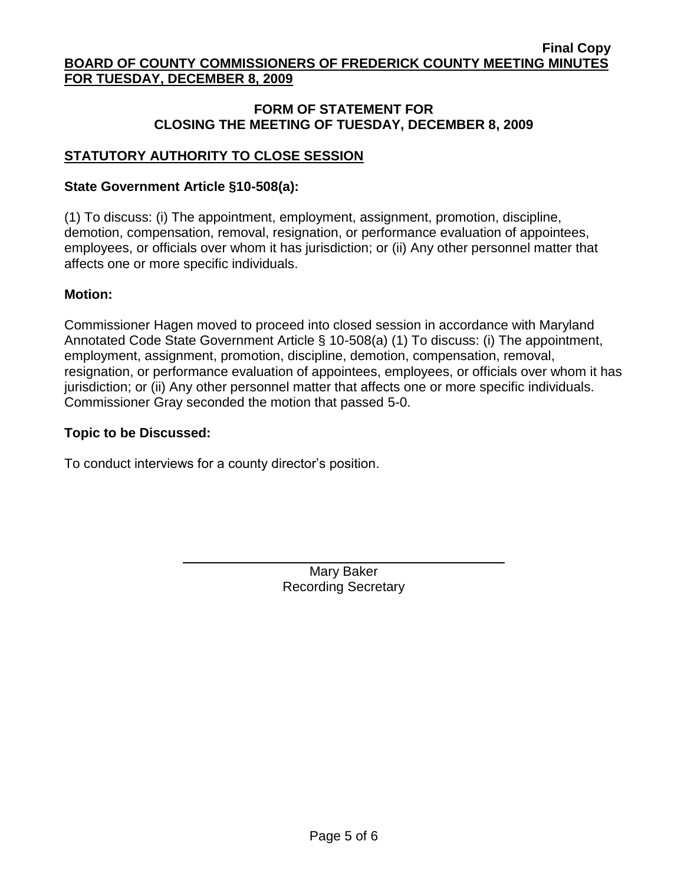### **FORM OF STATEMENT FOR CLOSING THE MEETING OF TUESDAY, DECEMBER 8, 2009**

# **STATUTORY AUTHORITY TO CLOSE SESSION**

### **State Government Article §10-508(a):**

(1) To discuss: (i) The appointment, employment, assignment, promotion, discipline, demotion, compensation, removal, resignation, or performance evaluation of appointees, employees, or officials over whom it has jurisdiction; or (ii) Any other personnel matter that affects one or more specific individuals.

### **Motion:**

Commissioner Hagen moved to proceed into closed session in accordance with Maryland Annotated Code State Government Article § 10-508(a) (1) To discuss: (i) The appointment, employment, assignment, promotion, discipline, demotion, compensation, removal, resignation, or performance evaluation of appointees, employees, or officials over whom it has jurisdiction; or (ii) Any other personnel matter that affects one or more specific individuals. Commissioner Gray seconded the motion that passed 5-0.

### **Topic to be Discussed:**

To conduct interviews for a county director's position.

Mary Baker Recording Secretary